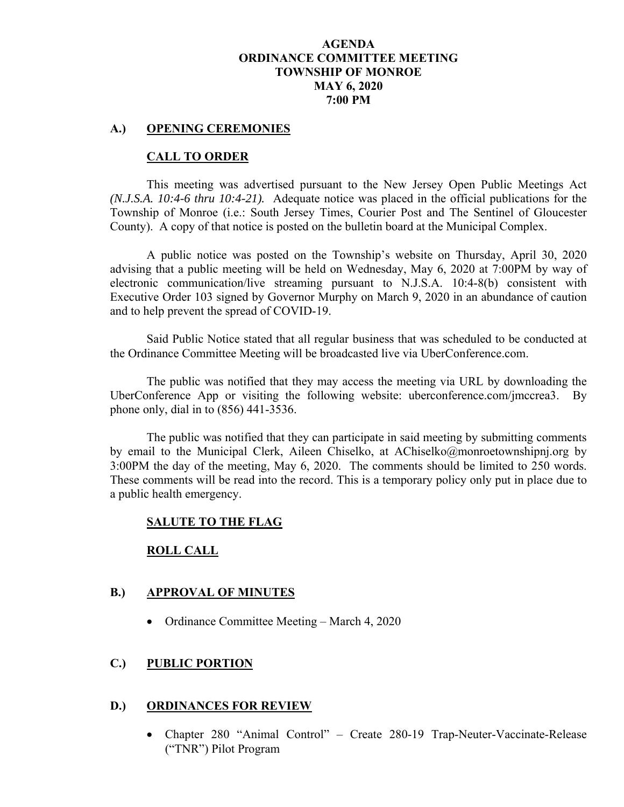## **AGENDA ORDINANCE COMMITTEE MEETING TOWNSHIP OF MONROE MAY 6, 2020 7:00 PM**

#### **A.) OPENING CEREMONIES**

### **CALL TO ORDER**

This meeting was advertised pursuant to the New Jersey Open Public Meetings Act *(N.J.S.A. 10:4-6 thru 10:4-21).* Adequate notice was placed in the official publications for the Township of Monroe (i.e.: South Jersey Times, Courier Post and The Sentinel of Gloucester County). A copy of that notice is posted on the bulletin board at the Municipal Complex.

A public notice was posted on the Township's website on Thursday, April 30, 2020 advising that a public meeting will be held on Wednesday, May 6, 2020 at 7:00PM by way of electronic communication/live streaming pursuant to N.J.S.A. 10:4-8(b) consistent with Executive Order 103 signed by Governor Murphy on March 9, 2020 in an abundance of caution and to help prevent the spread of COVID-19.

Said Public Notice stated that all regular business that was scheduled to be conducted at the Ordinance Committee Meeting will be broadcasted live via UberConference.com.

The public was notified that they may access the meeting via URL by downloading the UberConference App or visiting the following website: uberconference.com/jmccrea3. By phone only, dial in to (856) 441-3536.

The public was notified that they can participate in said meeting by submitting comments by email to the Municipal Clerk, Aileen Chiselko, at AChiselko@monroetownshipnj.org by 3:00PM the day of the meeting, May 6, 2020. The comments should be limited to 250 words. These comments will be read into the record. This is a temporary policy only put in place due to a public health emergency.

### **SALUTE TO THE FLAG**

### **ROLL CALL**

### **B.) APPROVAL OF MINUTES**

• Ordinance Committee Meeting – March 4, 2020

### **C.) PUBLIC PORTION**

## **D.) ORDINANCES FOR REVIEW**

• Chapter 280 "Animal Control" – Create 280-19 Trap-Neuter-Vaccinate-Release ("TNR") Pilot Program